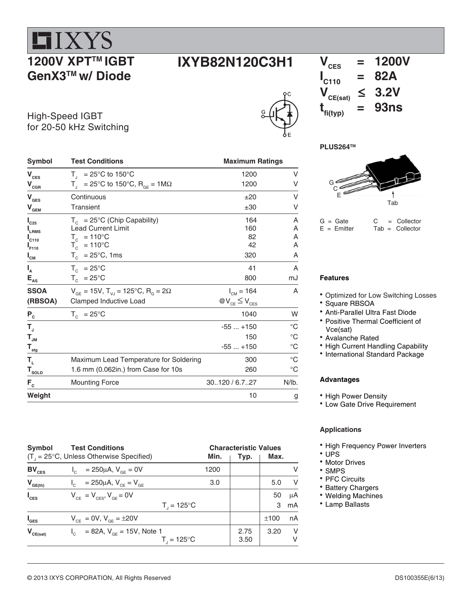## **HIXYS 1200V XPT™ IGBT GenX3TM w/ Diode**

# $V_{\text{CES}} = 1200V$



## $\mathbf{I}_{\mathsf{C110}}$  $= 82A$ <br> $\leq 3.2V$  $V_{CE(sat)} \leq 3.2V$ <br> **t**<sub>000</sub> = 93ns  $t_{fi(typ)}$  =

#### **PLUS264TM**



 $G =$  Gate  $C =$  Collector<br>  $E =$  Emitter  $Tab =$  Collector  $Tab = Collectron$ 

#### **Features**

- Optimized for Low Switching Losses
- Square RBSOA
- Anti-Parallel Ultra Fast Diode
- Positive Thermal Coefficient of Vce(sat)
- Avalanche Rated
- High Current Handling Capability
- International Standard Package

#### **Advantages**

- High Power Density
- Low Gate Drive Requirement

#### **Applications**

- High Frequency Power Inverters
- $\cdot$  UPS
- Motor Drives
- SMPS
- PFC Circuits
- Battery Chargers
- Welding Machines
- Lamp Ballasts

| High-Speed IGBT         |
|-------------------------|
| for 20-50 kHz Switching |
|                         |

| Symbol                                      | <b>Test Conditions</b>                                                             | <b>Maximum Ratings</b> |                |  |
|---------------------------------------------|------------------------------------------------------------------------------------|------------------------|----------------|--|
| $\mathbf{V}_{\mathrm{CES}}$                 | $T_{1}$ = 25°C to 150°C                                                            | 1200                   | V              |  |
| $\mathbf{V}_{\texttt{CGR}}$                 | $T_{\text{I}}$ = 25°C to 150°C, R <sub>GE</sub> = 1M $\Omega$                      | 1200                   | V              |  |
| $V_{\text{GES}}$                            | Continuous                                                                         | ±20                    | V              |  |
| $\mathbf{V}_{\underline{\mathbf{GEM}}}$     | <b>Transient</b>                                                                   | ±30                    | V              |  |
| $I_{C25}$                                   | $T_c$ = 25°C (Chip Capability)                                                     | 164                    | Α              |  |
| LRMS                                        | <b>Lead Current Limit</b>                                                          | 160                    | Α              |  |
| $I_{C110}$                                  | $T_c$ = 110°C                                                                      | 82                     | A              |  |
| $I_{F110}$                                  | $T_c$ = 110°C                                                                      | 42                     | Α              |  |
| $I_{CM}$                                    | $T_c$ = 25°C, 1ms                                                                  | 320                    | Α              |  |
| $I_{A}$                                     | $T_c = 25^{\circ}C$                                                                | 41                     | A              |  |
| $\mathsf{E}_{\mathsf{as}}$                  | $T_c = 25^{\circ}C$                                                                | 800                    | mJ             |  |
| <b>SSOA</b>                                 | $V_{\text{GF}} = 15V$ , $T_{\text{V,I}} = 125^{\circ}C$ , $R_{\text{G}} = 2\Omega$ | $I_{CM} = 164$         | A              |  |
| (RBSOA)                                     | Clamped Inductive Load                                                             | $@V_{CE} \leq V_{CES}$ |                |  |
| $P_{c}$                                     | $T_c = 25^{\circ}C$                                                                | 1040                   | W              |  |
| $T_{\rm J}$                                 |                                                                                    | $-55+150$              | $^{\circ}C$    |  |
| $\mathsf{T}_{\mathsf{JM}}$                  |                                                                                    | 150                    | $^{\circ}C$    |  |
| $\mathbf{T}_{\underline{\mathsf{stg}}}$     |                                                                                    | $-55+150$              | $^{\circ}C$    |  |
| $\mathsf{T}_{\scriptscriptstyle\mathsf{L}}$ | Maximum Lead Temperature for Soldering                                             | 300                    | $^{\circ}$ C   |  |
| $\mathsf{T}_{\textsf{SOLD}}$                | 1.6 mm (0.062in.) from Case for 10s                                                | 260                    | $^{\circ}C$    |  |
| $F_c$                                       | <b>Mounting Force</b>                                                              | 30.120 / 6.7.27        | N <sub>1</sub> |  |
| Weight                                      |                                                                                    | 10                     | g              |  |

| Symbol           | <b>Test Conditions</b>                                      |      |      | <b>Characteristic Values</b> |        |  |
|------------------|-------------------------------------------------------------|------|------|------------------------------|--------|--|
|                  | $(T_{\text{I}} = 25^{\circ}C$ , Unless Otherwise Specified) | Min. | Typ. | Max.                         |        |  |
| $BV_{CES}$       | = 250µA, $V_{CF}$ = 0V                                      | 1200 |      |                              | V      |  |
| $V_{GE(th)}$     | $I_{C}$ = 250µA, $V_{CF}$ = $V_{GF}$                        | 3.0  |      | 5.0                          | $\vee$ |  |
| $I_{\text{CES}}$ | $V_{CF} = V_{CFS}$ , $V_{GF} = 0V$                          |      |      | 50                           | μA     |  |
|                  | $T_{1} = 125^{\circ}C$                                      |      |      | 3                            | mA     |  |
| I <sub>ges</sub> | $V_{CF} = 0V$ , $V_{GF} = \pm 20V$                          |      |      | ±100                         | nA     |  |
| $V_{CE(sat)}$    | $I_c$ = 82A, $V_{GF}$ = 15V, Note 1                         |      | 2.75 | 3.20                         | V      |  |
|                  | $T_{\shortparallel}$ = 125°C                                |      | 3.50 |                              | v      |  |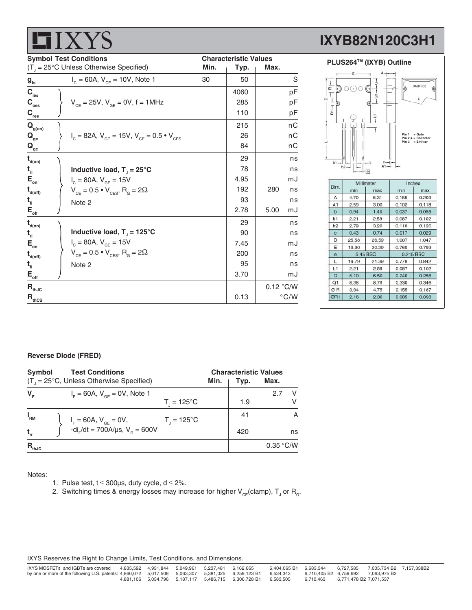|                                                                                                    | <b>ID</b>                                                   |                                                      |      |                |                              | IA I DOZ          |
|----------------------------------------------------------------------------------------------------|-------------------------------------------------------------|------------------------------------------------------|------|----------------|------------------------------|-------------------|
| <b>Symbol Test Conditions</b><br>$(T_{\text{u}} = 25^{\circ} \text{C}$ Unless Otherwise Specified) |                                                             | <b>Characteristic Values</b><br>Min.<br>Typ.<br>Max. |      |                |                              | <b>PLUS264™ (</b> |
| $g_{\rm fs}$                                                                                       | $I_c = 60A$ , $V_{cF} = 10V$ , Note 1                       | 30                                                   | 50   | S              |                              |                   |
| $C_{\text{les}}$                                                                                   |                                                             |                                                      | 4060 | pF             | $\alpha$                     |                   |
| $\mathbf{C}_{_{\mathrm{oes}}}$                                                                     | $V_{CF} = 25V$ , $V_{GF} = 0V$ , f = 1MHz                   |                                                      | 285  | pF             | $\Omega$                     |                   |
| $\mathbf{C}_{\mathrm{res}}$                                                                        |                                                             |                                                      | 110  | рF             | $\tilde{\underline{\alpha}}$ |                   |
| $\mathbf{Q}_{\text{g(on)}}$                                                                        |                                                             |                                                      | 215  | nC             |                              |                   |
| $\mathbf{Q}_{_{\mathbf{ge}}}$                                                                      | $I_c = 82A$ , $V_{GE} = 15V$ , $V_{CE} = 0.5 \cdot V_{CES}$ |                                                      | 26   | пC             |                              |                   |
| $\mathbf{Q}_{\mathrm{gc}}$                                                                         |                                                             |                                                      | 84   | nC             |                              |                   |
| $t_{\text{\tiny d(0n)}}$                                                                           |                                                             |                                                      | 29   | ns             | b1                           |                   |
| $t_{ri}$                                                                                           | Inductive load, $T_{\parallel}$ = 25°C                      |                                                      | 78   | ns             |                              | b2                |
| $E_{\rm on}$                                                                                       | $I_c = 80A, V_{GE} = 15V$                                   |                                                      | 4.95 | mJ             |                              | Millim            |
| $t_{\text{\tiny{d(off)}}}$                                                                         | $V_{CE} = 0.5 \cdot V_{CES}$ , R <sub>G</sub> = 2 $\Omega$  |                                                      | 192  | 280<br>ns      | Dim.                         | min               |
| $t_{fi}$                                                                                           | Note 2                                                      |                                                      | 93   | ns             | Α<br>A <sub>1</sub>          | 4.70<br>2.59      |
| $\mathsf{E}_{\scriptscriptstyle{\mathsf{off}}}$                                                    |                                                             |                                                      | 2.78 | 5.00<br>mJ     | b                            | 0.94              |
| $t_{\text{\tiny d(0n)}}$                                                                           |                                                             |                                                      | 29   | ns             | b1<br>b <sub>2</sub>         | 2.21<br>2.79      |
| $t_{ri}$                                                                                           | Inductive load, $T_{J}$ = 125°C                             |                                                      | 90   | ns             | $\mathbf{c}$                 | 0.43              |
| $E_{\rm on}$                                                                                       | $I_c = 80A, V_{GE} = 15V$                                   |                                                      | 7.45 | mJ             | D                            | 25.58             |
| $t_{\text{\tiny{d(off)}}}$                                                                         | $V_{CE} = 0.5 \cdot V_{CES}$ , R <sub>G</sub> = 2 $\Omega$  |                                                      | 200  | ns             | E<br>$\mathbf{e}$            | 19.30<br>5.45     |
| $t_{fi}$                                                                                           | Note 2                                                      |                                                      | 95   | ns             | L                            | 19.79             |
| $\mathsf{E}_{\scriptscriptstyle{\mathsf{off}}}$                                                    |                                                             |                                                      | 3.70 | mJ             | L1<br>$\Omega$               | 2.21<br>6.10      |
|                                                                                                    |                                                             |                                                      |      |                | O <sub>1</sub>               | 8.38              |
| $R_{thJC}$                                                                                         |                                                             |                                                      |      | 0.12 °C/W      | ØR                           | 3.94              |
| $\mathbf{R}_{\text{thCS}}$                                                                         |                                                             |                                                      | 0.13 | $^{\circ}$ C/W | ØR1                          | 2.16              |

# **IXYB82N120C3H1**



8.79

4.75

2.36

0.330

 $0.155$ 

0.085

0.346

 $0.187$ 

0.093

#### **Reverse Diode (FRED)**

 $\blacksquare$  I V V  $\ell$ 

| Symbol<br><b>Test Conditions</b><br>$(T_{1} = 25^{\circ}C,$ Unless Otherwise Specified) |                                                                               | Min.                   | <b>Characteristic Values</b><br>Typ. | Max. |           |
|-----------------------------------------------------------------------------------------|-------------------------------------------------------------------------------|------------------------|--------------------------------------|------|-----------|
| $V_{\rm c}$                                                                             | $I_{\rm E} = 60$ A, $V_{\rm GF} = 0$ V, Note 1                                |                        |                                      |      | V<br>2.7  |
|                                                                                         |                                                                               | $T_{1} = 125^{\circ}C$ |                                      | 1.9  |           |
| $I_{\rm RM}$                                                                            | $I_F = 60A$ , $V_{GE} = 0V$ ,<br>-di <sub>r</sub> /dt = 700A/µs, $V_B = 600V$ | $T_1 = 125^{\circ}C$   |                                      | 41   | A         |
|                                                                                         |                                                                               |                        |                                      | 420  | ns        |
| $R_{thJC}$                                                                              |                                                                               |                        |                                      |      | 0.35 °C/W |

Notes:

- 1. Pulse test,  $t \le 300 \mu s$ , duty cycle,  $d \le 2\%$ .
- 2. Switching times & energy losses may increase for higher  $\mathsf{V}_{\mathsf{CE}}$ (clamp),  $\mathsf{T}_{\mathsf{J}}$  or  $\mathsf{R}_{\mathsf{G}}$ .

IXYS Reserves the Right to Change Limits, Test Conditions, and Dimensions.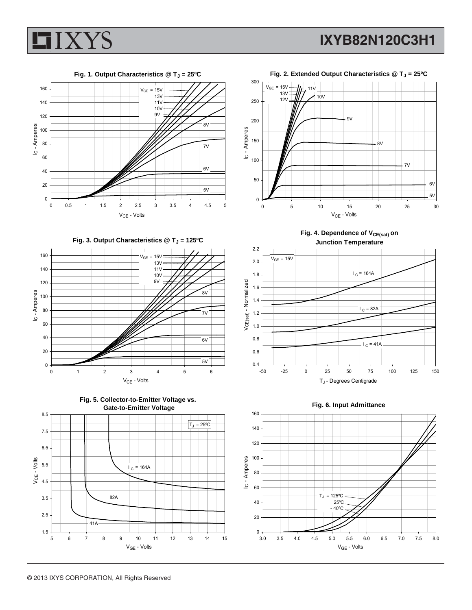





Fig. 3. Output Characteristics @ T<sub>J</sub> = 125°C







Fig. 2. Extended Output Characteristics @ T<sub>J</sub> = 25°C



Fig. 4. Dependence of V<sub>CE(sat)</sub> on **Junction Temperature**



**Fig. 6. Input Admittance**

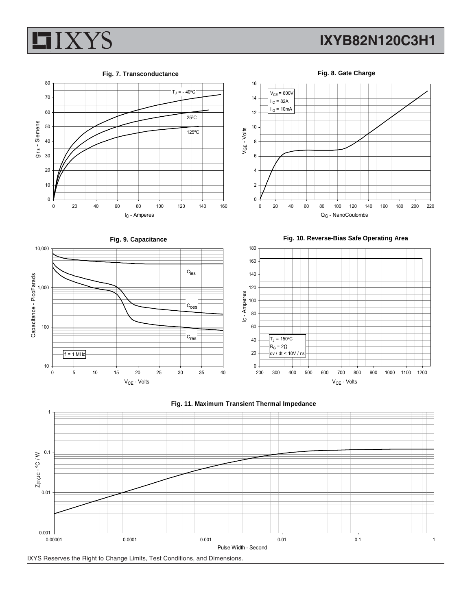### **IXYB82N120C3H1**



#### **Fig. 7. Transconductance**



**Fig. 8. Gate Charge** 16  $V_{CE}$  = 600V 14  $I_C = 82A$  $I_G = 10mA$ 12 10  $VGE - Volts$ 8 6 4 2 0 0 20 40 60 80 100 120 140 160 180 200 220







QG - NanoCoulombs





VGE - Volts

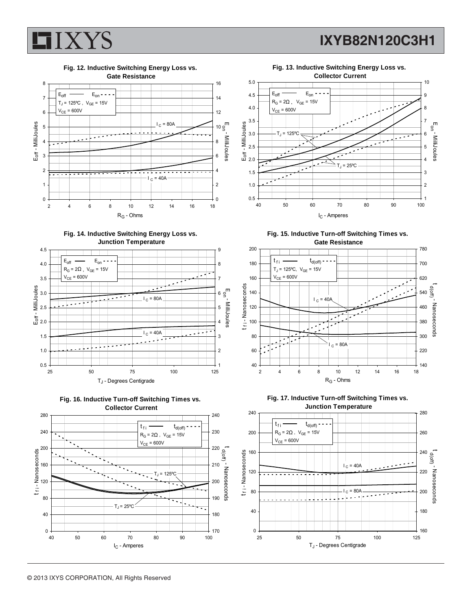

### **IXYB82N120C3H1**



**Fig. 14. Inductive Switching Energy Loss vs. Junction Temperature**









**Fig. 15. Inductive Turn-off Switching Times vs. Gate Resistance**





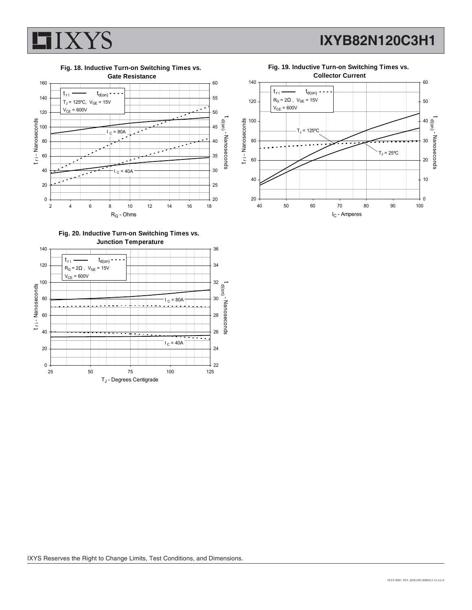

**IXYB82N120C3H1**



**Fig. 19. Inductive Turn-on Switching Times vs.**



**Fig. 20. Inductive Turn-on Switching Times vs. Junction Temperature**